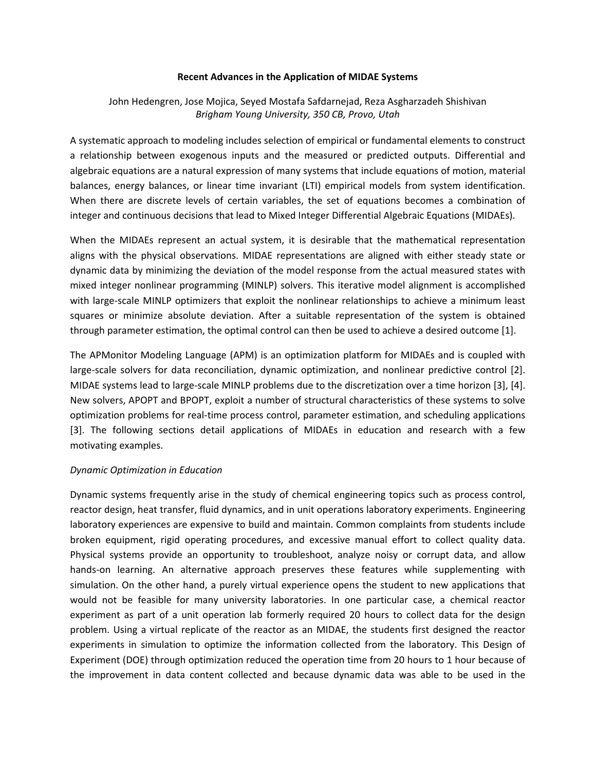#### **Recent Advances in the Application of MIDAE Systems**

# John Hedengren, Jose Mojica, Seyed Mostafa Safdarnejad, Reza Asgharzadeh Shishivan *Brigham Young University, 350 CB, Provo, Utah*

A systematic approach to modeling includes selection of empirical or fundamental elements to construct a relationship between exogenous inputs and the measured or predicted outputs. Differential and algebraic equations are a natural expression of many systems that include equations of motion, material balances, energy balances, or linear time invariant (LTI) empirical models from system identification. When there are discrete levels of certain variables, the set of equations becomes a combination of integer and continuous decisions that lead to Mixed Integer Differential Algebraic Equations (MIDAEs).

When the MIDAEs represent an actual system, it is desirable that the mathematical representation aligns with the physical observations. MIDAE representations are aligned with either steady state or dynamic data by minimizing the deviation of the model response from the actual measured states with mixed integer nonlinear programming (MINLP) solvers. This iterative model alignment is accomplished with large-scale MINLP optimizers that exploit the nonlinear relationships to achieve a minimum least squares or minimize absolute deviation. After a suitable representation of the system is obtained through parameter estimation, the optimal control can then be used to achieve a desired outcome [1].

The APMonitor Modeling Language (APM) is an optimization platform for MIDAEs and is coupled with large-scale solvers for data reconciliation, dynamic optimization, and nonlinear predictive control [2]. MIDAE systems lead to large-scale MINLP problems due to the discretization over a time horizon [3], [4]. New solvers, APOPT and BPOPT, exploit a number of structural characteristics of these systems to solve optimization problems for real‐time process control, parameter estimation, and scheduling applications [3]. The following sections detail applications of MIDAEs in education and research with a few motivating examples.

#### *Dynamic Optimization in Education*

Dynamic systems frequently arise in the study of chemical engineering topics such as process control, reactor design, heat transfer, fluid dynamics, and in unit operations laboratory experiments. Engineering laboratory experiences are expensive to build and maintain. Common complaints from students include broken equipment, rigid operating procedures, and excessive manual effort to collect quality data. Physical systems provide an opportunity to troubleshoot, analyze noisy or corrupt data, and allow hands‐on learning. An alternative approach preserves these features while supplementing with simulation. On the other hand, a purely virtual experience opens the student to new applications that would not be feasible for many university laboratories. In one particular case, a chemical reactor experiment as part of a unit operation lab formerly required 20 hours to collect data for the design problem. Using a virtual replicate of the reactor as an MIDAE, the students first designed the reactor experiments in simulation to optimize the information collected from the laboratory. This Design of Experiment (DOE) through optimization reduced the operation time from 20 hours to 1 hour because of the improvement in data content collected and because dynamic data was able to be used in the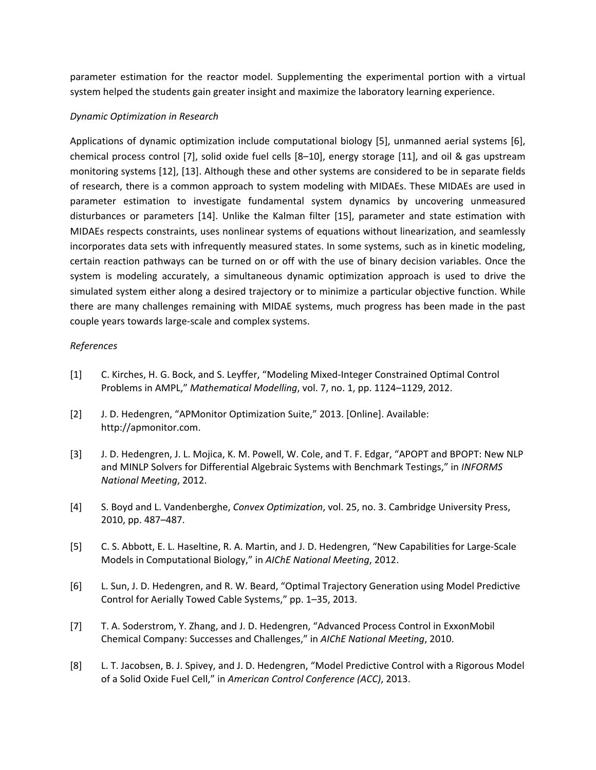parameter estimation for the reactor model. Supplementing the experimental portion with a virtual system helped the students gain greater insight and maximize the laboratory learning experience.

### *Dynamic Optimization in Research*

Applications of dynamic optimization include computational biology [5], unmanned aerial systems [6], chemical process control [7], solid oxide fuel cells [8–10], energy storage [11], and oil & gas upstream monitoring systems [12], [13]. Although these and other systems are considered to be in separate fields of research, there is a common approach to system modeling with MIDAEs. These MIDAEs are used in parameter estimation to investigate fundamental system dynamics by uncovering unmeasured disturbances or parameters [14]. Unlike the Kalman filter [15], parameter and state estimation with MIDAEs respects constraints, uses nonlinear systems of equations without linearization, and seamlessly incorporates data sets with infrequently measured states. In some systems, such as in kinetic modeling, certain reaction pathways can be turned on or off with the use of binary decision variables. Once the system is modeling accurately, a simultaneous dynamic optimization approach is used to drive the simulated system either along a desired trajectory or to minimize a particular objective function. While there are many challenges remaining with MIDAE systems, much progress has been made in the past couple years towards large‐scale and complex systems.

## *References*

- [1] C. Kirches, H. G. Bock, and S. Leyffer, "Modeling Mixed‐Integer Constrained Optimal Control Problems in AMPL," *Mathematical Modelling*, vol. 7, no. 1, pp. 1124–1129, 2012.
- [2] J. D. Hedengren, "APMonitor Optimization Suite," 2013. [Online]. Available: http://apmonitor.com.
- [3] J. D. Hedengren, J. L. Mojica, K. M. Powell, W. Cole, and T. F. Edgar, "APOPT and BPOPT: New NLP and MINLP Solvers for Differential Algebraic Systems with Benchmark Testings," in *INFORMS National Meeting*, 2012.
- [4] S. Boyd and L. Vandenberghe, *Convex Optimization*, vol. 25, no. 3. Cambridge University Press, 2010, pp. 487–487.
- [5] C. S. Abbott, E. L. Haseltine, R. A. Martin, and J. D. Hedengren, "New Capabilities for Large‐Scale Models in Computational Biology," in *AIChE National Meeting*, 2012.
- [6] L. Sun, J. D. Hedengren, and R. W. Beard, "Optimal Trajectory Generation using Model Predictive Control for Aerially Towed Cable Systems," pp. 1–35, 2013.
- [7] T. A. Soderstrom, Y. Zhang, and J. D. Hedengren, "Advanced Process Control in ExxonMobil Chemical Company: Successes and Challenges," in *AIChE National Meeting*, 2010.
- [8] L. T. Jacobsen, B. J. Spivey, and J. D. Hedengren, "Model Predictive Control with a Rigorous Model of a Solid Oxide Fuel Cell," in *American Control Conference (ACC)*, 2013.